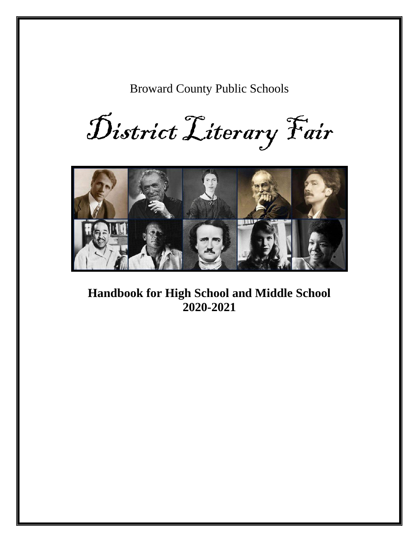Broward County Public Schools

District Literary Fair



**Handbook for High School and Middle School 2020-2021**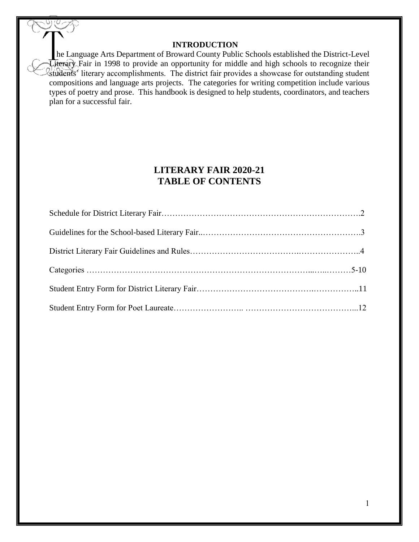#### **INTRODUCTION**

he Language Arts Department of Broward County Public Schools established the District-Level Literary Fair in 1998 to provide an opportunity for middle and high schools to recognize their Students' literary accomplishments. The district fair provides a showcase for outstanding student compositions and language arts projects. The categories for writing competition include various types of poetry and prose. This handbook is designed to help students, coordinators, and teachers plan for a successful fair.

### **LITERARY FAIR 2020-21 TABLE OF CONTENTS**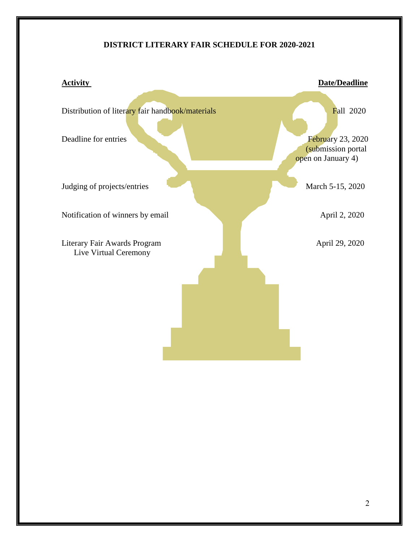#### **DISTRICT LITERARY FAIR SCHEDULE FOR 2020-2021**

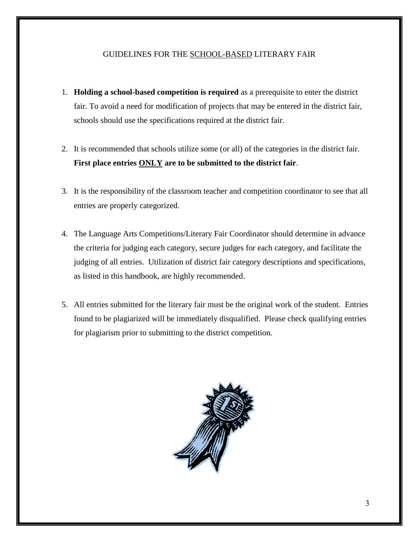#### GUIDELINES FOR THE SCHOOL-BASED LITERARY FAIR

- 1. **Holding a school-based competition is required** as a prerequisite to enter the district fair. To avoid a need for modification of projects that may be entered in the district fair, schools should use the specifications required at the district fair.
- 2. It is recommended that schools utilize some (or all) of the categories in the district fair. **First place entries ONLY are to be submitted to the district fair**.
- 3. It is the responsibility of the classroom teacher and competition coordinator to see that all entries are properly categorized.
- 4. The Language Arts Competitions/Literary Fair Coordinator should determine in advance the criteria for judging each category, secure judges for each category, and facilitate the judging of all entries. Utilization of district fair category descriptions and specifications, as listed in this handbook, are highly recommended.
- 5. All entries submitted for the literary fair must be the original work of the student. Entries found to be plagiarized will be immediately disqualified. Please check qualifying entries for plagiarism prior to submitting to the district competition.

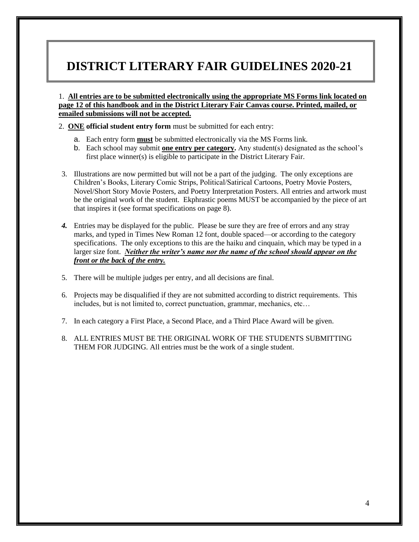# **DISTRICT LITERARY FAIR GUIDELINES 2020-21**

1. **All entries are to be submitted electronically using the appropriate MS Forms link located on page 12 of this handbook and in the District Literary Fair Canvas course. Printed, mailed, or emailed submissions will not be accepted.**

- 2. **ONE official student entry form** must be submitted for each entry:
	- a. Each entry form **must** be submitted electronically via the MS Forms link.
	- b. Each school may submit **one entry per category.** Any student(s) designated as the school's first place winner(s) is eligible to participate in the District Literary Fair.
- 3. Illustrations are now permitted but will not be a part of the judging. The only exceptions are Children's Books, Literary Comic Strips, Political/Satirical Cartoons, Poetry Movie Posters, Novel/Short Story Movie Posters, and Poetry Interpretation Posters. All entries and artwork must be the original work of the student. Ekphrastic poems MUST be accompanied by the piece of art that inspires it (see format specifications on page 8).
- *4.* Entries may be displayed for the public. Please be sure they are free of errors and any stray marks, and typed in Times New Roman 12 font, double spaced—or according to the category specifications. The only exceptions to this are the haiku and cinquain, which may be typed in a larger size font. *Neither the writer's name nor the name of the school should appear on the front or the back of the entry.*
- 5. There will be multiple judges per entry, and all decisions are final.
- 6. Projects may be disqualified if they are not submitted according to district requirements. This includes, but is not limited to, correct punctuation, grammar, mechanics, etc…
- 7. In each category a First Place, a Second Place, and a Third Place Award will be given.
- 8. ALL ENTRIES MUST BE THE ORIGINAL WORK OF THE STUDENTS SUBMITTING THEM FOR JUDGING. All entries must be the work of a single student.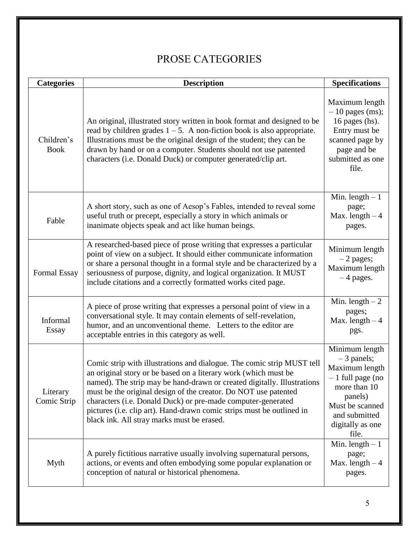### PROSE CATEGORIES

| <b>Categories</b>         | <b>Description</b>                                                                                                                                                                                                                                                                                                                                                                                                                                                             | <b>Specifications</b>                                                                                                                                              |
|---------------------------|--------------------------------------------------------------------------------------------------------------------------------------------------------------------------------------------------------------------------------------------------------------------------------------------------------------------------------------------------------------------------------------------------------------------------------------------------------------------------------|--------------------------------------------------------------------------------------------------------------------------------------------------------------------|
| Children's<br><b>Book</b> | An original, illustrated story written in book format and designed to be<br>read by children grades $1 - 5$ . A non-fiction book is also appropriate.<br>Illustrations must be the original design of the student; they can be<br>drawn by hand or on a computer. Students should not use patented<br>characters (i.e. Donald Duck) or computer generated/clip art.                                                                                                            | Maximum length<br>$-10$ pages (ms);<br>16 pages (hs).<br>Entry must be<br>scanned page by<br>page and be<br>submitted as one<br>file.                              |
| Fable                     | A short story, such as one of Aesop's Fables, intended to reveal some<br>useful truth or precept, especially a story in which animals or<br>inanimate objects speak and act like human beings.                                                                                                                                                                                                                                                                                 | Min. length $-1$<br>page;<br>Max. length $-4$<br>pages.                                                                                                            |
| Formal Essay              | A researched-based piece of prose writing that expresses a particular<br>point of view on a subject. It should either communicate information<br>or share a personal thought in a formal style and be characterized by a<br>seriousness of purpose, dignity, and logical organization. It MUST<br>include citations and a correctly formatted works cited page.                                                                                                                | Minimum length<br>$-2$ pages;<br>Maximum length<br>$-4$ pages.                                                                                                     |
| Informal<br>Essay         | A piece of prose writing that expresses a personal point of view in a<br>conversational style. It may contain elements of self-revelation,<br>humor, and an unconventional theme. Letters to the editor are<br>acceptable entries in this category as well.                                                                                                                                                                                                                    | Min. length $-2$<br>pages;<br>Max. length $-4$<br>pgs.                                                                                                             |
| Literary<br>Comic Strip   | Comic strip with illustrations and dialogue. The comic strip MUST tell<br>an original story or be based on a literary work (which must be<br>named). The strip may be hand-drawn or created digitally. Illustrations<br>must be the original design of the creator. Do NOT use patented<br>characters (i.e. Donald Duck) or pre-made computer-generated<br>pictures (i.e. clip art). Hand-drawn comic strips must be outlined in<br>black ink. All stray marks must be erased. | Minimum length<br>$-3$ panels;<br>Maximum length<br>$-1$ full page (no<br>more than 10<br>panels)<br>Must be scanned<br>and submitted<br>digitally as one<br>file. |
| Myth                      | A purely fictitious narrative usually involving supernatural persons,<br>actions, or events and often embodying some popular explanation or<br>conception of natural or historical phenomena.                                                                                                                                                                                                                                                                                  | Min. length $-1$<br>page;<br>Max. length $-4$<br>pages.                                                                                                            |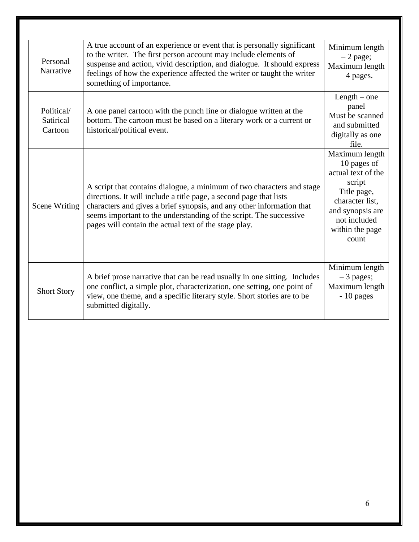| Personal<br>Narrative              | A true account of an experience or event that is personally significant<br>to the writer. The first person account may include elements of<br>suspense and action, vivid description, and dialogue. It should express<br>feelings of how the experience affected the writer or taught the writer<br>something of importance.                         | Minimum length<br>$-2$ page;<br>Maximum length<br>$-4$ pages.                                                                                                      |
|------------------------------------|------------------------------------------------------------------------------------------------------------------------------------------------------------------------------------------------------------------------------------------------------------------------------------------------------------------------------------------------------|--------------------------------------------------------------------------------------------------------------------------------------------------------------------|
| Political/<br>Satirical<br>Cartoon | A one panel cartoon with the punch line or dialogue written at the<br>bottom. The cartoon must be based on a literary work or a current or<br>historical/political event.                                                                                                                                                                            | $Length - one$<br>panel<br>Must be scanned<br>and submitted<br>digitally as one<br>file.                                                                           |
| <b>Scene Writing</b>               | A script that contains dialogue, a minimum of two characters and stage<br>directions. It will include a title page, a second page that lists<br>characters and gives a brief synopsis, and any other information that<br>seems important to the understanding of the script. The successive<br>pages will contain the actual text of the stage play. | Maximum length<br>$-10$ pages of<br>actual text of the<br>script<br>Title page,<br>character list,<br>and synopsis are<br>not included<br>within the page<br>count |
| <b>Short Story</b>                 | A brief prose narrative that can be read usually in one sitting. Includes<br>one conflict, a simple plot, characterization, one setting, one point of<br>view, one theme, and a specific literary style. Short stories are to be<br>submitted digitally.                                                                                             | Minimum length<br>$-3$ pages;<br>Maximum length<br>- 10 pages                                                                                                      |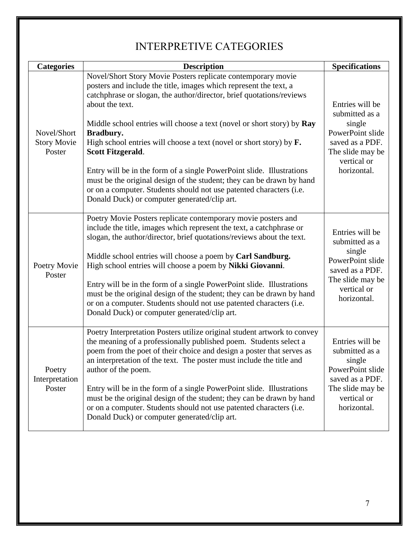### INTERPRETIVE CATEGORIES

| <b>Categories</b>                           | <b>Description</b>                                                                                                                                                                                                                                                                                                                                                                                                                                                                                                                                                                                                                                                                          | <b>Specifications</b>                                                                                                                |
|---------------------------------------------|---------------------------------------------------------------------------------------------------------------------------------------------------------------------------------------------------------------------------------------------------------------------------------------------------------------------------------------------------------------------------------------------------------------------------------------------------------------------------------------------------------------------------------------------------------------------------------------------------------------------------------------------------------------------------------------------|--------------------------------------------------------------------------------------------------------------------------------------|
| Novel/Short<br><b>Story Movie</b><br>Poster | Novel/Short Story Movie Posters replicate contemporary movie<br>posters and include the title, images which represent the text, a<br>catchphrase or slogan, the author/director, brief quotations/reviews<br>about the text.<br>Middle school entries will choose a text (novel or short story) by Ray<br>Bradbury.<br>High school entries will choose a text (novel or short story) by $F$ .<br>Scott Fitzgerald.<br>Entry will be in the form of a single PowerPoint slide. Illustrations<br>must be the original design of the student; they can be drawn by hand<br>or on a computer. Students should not use patented characters (i.e.<br>Donald Duck) or computer generated/clip art. | Entries will be<br>submitted as a<br>single<br>PowerPoint slide<br>saved as a PDF.<br>The slide may be<br>vertical or<br>horizontal. |
| Poetry Movie<br>Poster                      | Poetry Movie Posters replicate contemporary movie posters and<br>include the title, images which represent the text, a catchphrase or<br>slogan, the author/director, brief quotations/reviews about the text.<br>Middle school entries will choose a poem by Carl Sandburg.<br>High school entries will choose a poem by Nikki Giovanni.<br>Entry will be in the form of a single PowerPoint slide. Illustrations<br>must be the original design of the student; they can be drawn by hand<br>or on a computer. Students should not use patented characters (i.e.<br>Donald Duck) or computer generated/clip art.                                                                          | Entries will be<br>submitted as a<br>single<br>PowerPoint slide<br>saved as a PDF.<br>The slide may be<br>vertical or<br>horizontal. |
| Poetry<br>Interpretation<br>Poster          | Poetry Interpretation Posters utilize original student artwork to convey<br>the meaning of a professionally published poem. Students select a<br>poem from the poet of their choice and design a poster that serves as<br>an interpretation of the text. The poster must include the title and<br>author of the poem.<br>Entry will be in the form of a single PowerPoint slide. Illustrations<br>must be the original design of the student; they can be drawn by hand<br>or on a computer. Students should not use patented characters (i.e.<br>Donald Duck) or computer generated/clip art.                                                                                              | Entries will be<br>submitted as a<br>single<br>PowerPoint slide<br>saved as a PDF.<br>The slide may be<br>vertical or<br>horizontal. |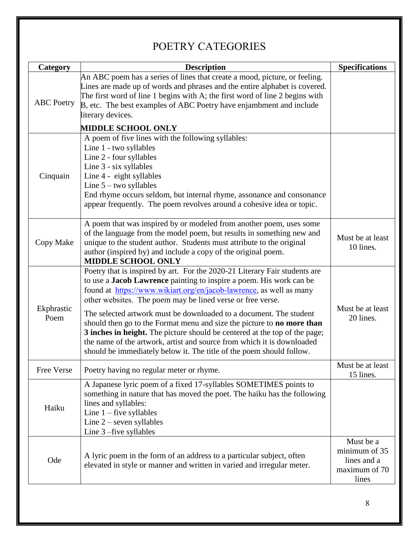| Category           | <b>Description</b>                                                                                                                                                                                                                                                                                                                                                                                                                                                                                                                                                                                                                                                     | <b>Specifications</b>                                               |
|--------------------|------------------------------------------------------------------------------------------------------------------------------------------------------------------------------------------------------------------------------------------------------------------------------------------------------------------------------------------------------------------------------------------------------------------------------------------------------------------------------------------------------------------------------------------------------------------------------------------------------------------------------------------------------------------------|---------------------------------------------------------------------|
| <b>ABC</b> Poetry  | An ABC poem has a series of lines that create a mood, picture, or feeling.<br>Lines are made up of words and phrases and the entire alphabet is covered.<br>The first word of line 1 begins with A; the first word of line 2 begins with<br>B, etc. The best examples of ABC Poetry have enjambment and include<br>literary devices.                                                                                                                                                                                                                                                                                                                                   |                                                                     |
|                    | <b>MIDDLE SCHOOL ONLY</b>                                                                                                                                                                                                                                                                                                                                                                                                                                                                                                                                                                                                                                              |                                                                     |
| Cinquain           | A poem of five lines with the following syllables:<br>Line 1 - two syllables<br>Line 2 - four syllables<br>Line 3 - six syllables<br>Line 4 - eight syllables<br>Line $5 -$ two syllables<br>End rhyme occurs seldom, but internal rhyme, assonance and consonance<br>appear frequently. The poem revolves around a cohesive idea or topic.                                                                                                                                                                                                                                                                                                                            |                                                                     |
| Copy Make          | A poem that was inspired by or modeled from another poem, uses some<br>of the language from the model poem, but results in something new and<br>unique to the student author. Students must attribute to the original<br>author (inspired by) and include a copy of the original poem.<br><b>MIDDLE SCHOOL ONLY</b>                                                                                                                                                                                                                                                                                                                                                    | Must be at least<br>10 lines.                                       |
| Ekphrastic<br>Poem | Poetry that is inspired by art. For the 2020-21 Literary Fair students are<br>to use a Jacob Lawrence painting to inspire a poem. His work can be<br>found at https://www.wikiart.org/en/jacob-lawrence, as well as many<br>other websites. The poem may be lined verse or free verse.<br>The selected artwork must be downloaded to a document. The student<br>should then go to the Format menu and size the picture to no more than<br>3 inches in height. The picture should be centered at the top of the page;<br>the name of the artwork, artist and source from which it is downloaded<br>should be immediately below it. The title of the poem should follow. | Must be at least<br>20 lines.                                       |
| Free Verse         | Poetry having no regular meter or rhyme.                                                                                                                                                                                                                                                                                                                                                                                                                                                                                                                                                                                                                               | Must be at least<br>15 lines.                                       |
| Haiku              | A Japanese lyric poem of a fixed 17-syllables SOMETIMES points to<br>something in nature that has moved the poet. The haiku has the following<br>lines and syllables:<br>Line $1$ – five syllables<br>Line $2$ – seven syllables<br>Line $3$ –five syllables                                                                                                                                                                                                                                                                                                                                                                                                           |                                                                     |
| Ode                | A lyric poem in the form of an address to a particular subject, often<br>elevated in style or manner and written in varied and irregular meter.                                                                                                                                                                                                                                                                                                                                                                                                                                                                                                                        | Must be a<br>minimum of 35<br>lines and a<br>maximum of 70<br>lines |

# POETRY CATEGORIES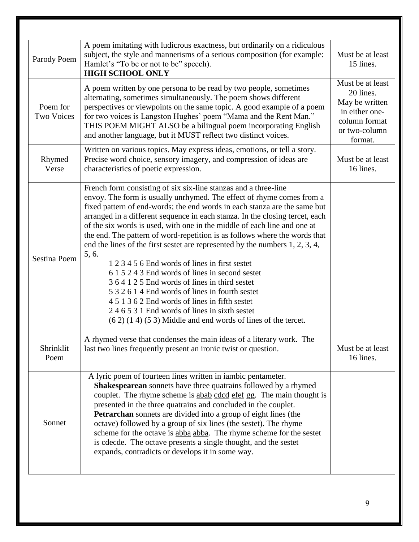| Parody Poem                   | A poem imitating with ludicrous exactness, but ordinarily on a ridiculous<br>subject, the style and mannerisms of a serious composition (for example:<br>Hamlet's "To be or not to be" speech).<br><b>HIGH SCHOOL ONLY</b>                                                                                                                                                                                                                                                                                                                                                                                                                                                                                                                                                                                                                                                                                                          | Must be at least<br>15 lines.                                                                                  |
|-------------------------------|-------------------------------------------------------------------------------------------------------------------------------------------------------------------------------------------------------------------------------------------------------------------------------------------------------------------------------------------------------------------------------------------------------------------------------------------------------------------------------------------------------------------------------------------------------------------------------------------------------------------------------------------------------------------------------------------------------------------------------------------------------------------------------------------------------------------------------------------------------------------------------------------------------------------------------------|----------------------------------------------------------------------------------------------------------------|
| Poem for<br><b>Two Voices</b> | A poem written by one persona to be read by two people, sometimes<br>alternating, sometimes simultaneously. The poem shows different<br>perspectives or viewpoints on the same topic. A good example of a poem<br>for two voices is Langston Hughes' poem "Mama and the Rent Man."<br>THIS POEM MIGHT ALSO be a bilingual poem incorporating English<br>and another language, but it MUST reflect two distinct voices.                                                                                                                                                                                                                                                                                                                                                                                                                                                                                                              | Must be at least<br>20 lines.<br>May be written<br>in either one-<br>column format<br>or two-column<br>format. |
| Rhymed<br>Verse               | Written on various topics. May express ideas, emotions, or tell a story.<br>Precise word choice, sensory imagery, and compression of ideas are<br>characteristics of poetic expression.                                                                                                                                                                                                                                                                                                                                                                                                                                                                                                                                                                                                                                                                                                                                             | Must be at least<br>16 lines.                                                                                  |
| Sestina Poem                  | French form consisting of six six-line stanzas and a three-line<br>envoy. The form is usually unrhymed. The effect of rhyme comes from a<br>fixed pattern of end-words; the end words in each stanza are the same but<br>arranged in a different sequence in each stanza. In the closing tercet, each<br>of the six words is used, with one in the middle of each line and one at<br>the end. The pattern of word-repetition is as follows where the words that<br>end the lines of the first sestet are represented by the numbers $1, 2, 3, 4$ ,<br>5, 6.<br>1 2 3 4 5 6 End words of lines in first sestet<br>6 1 5 2 4 3 End words of lines in second sestet<br>364125 End words of lines in third sestet<br>5 3 2 6 1 4 End words of lines in fourth sestet<br>4 5 1 3 6 2 End words of lines in fifth sestet<br>246531 End words of lines in sixth sestet<br>$(6 2) (1 4) (5 3)$ Middle and end words of lines of the tercet. |                                                                                                                |
| Shrinklit<br>Poem             | A rhymed verse that condenses the main ideas of a literary work. The<br>last two lines frequently present an ironic twist or question.                                                                                                                                                                                                                                                                                                                                                                                                                                                                                                                                                                                                                                                                                                                                                                                              | Must be at least<br>16 lines.                                                                                  |
| Sonnet                        | A lyric poem of fourteen lines written in <i>iambic</i> pentameter.<br>Shakespearean sonnets have three quatrains followed by a rhymed<br>couplet. The rhyme scheme is abab cdcd efet gg. The main thought is<br>presented in the three quatrains and concluded in the couplet.<br><b>Petrarchan</b> sonnets are divided into a group of eight lines (the<br>octave) followed by a group of six lines (the sestet). The rhyme<br>scheme for the octave is abba abba. The rhyme scheme for the sestet<br>is cdecde. The octave presents a single thought, and the sestet<br>expands, contradicts or develops it in some way.                                                                                                                                                                                                                                                                                                         |                                                                                                                |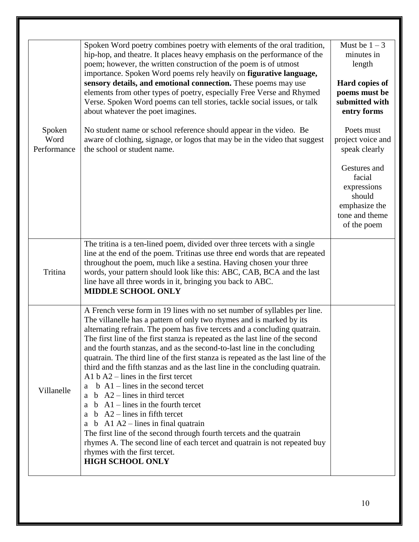|                               | Spoken Word poetry combines poetry with elements of the oral tradition,<br>hip-hop, and theatre. It places heavy emphasis on the performance of the<br>poem; however, the written construction of the poem is of utmost<br>importance. Spoken Word poems rely heavily on figurative language,<br>sensory details, and emotional connection. These poems may use<br>elements from other types of poetry, especially Free Verse and Rhymed<br>Verse. Spoken Word poems can tell stories, tackle social issues, or talk<br>about whatever the poet imagines.                                                                                                                                                                                                                                                                                                                                                                                                                                                                  | Must be $1-3$<br>minutes in<br>length<br>Hard copies of<br>poems must be<br>submitted with<br>entry forms |
|-------------------------------|----------------------------------------------------------------------------------------------------------------------------------------------------------------------------------------------------------------------------------------------------------------------------------------------------------------------------------------------------------------------------------------------------------------------------------------------------------------------------------------------------------------------------------------------------------------------------------------------------------------------------------------------------------------------------------------------------------------------------------------------------------------------------------------------------------------------------------------------------------------------------------------------------------------------------------------------------------------------------------------------------------------------------|-----------------------------------------------------------------------------------------------------------|
| Spoken<br>Word<br>Performance | No student name or school reference should appear in the video. Be<br>aware of clothing, signage, or logos that may be in the video that suggest<br>the school or student name.                                                                                                                                                                                                                                                                                                                                                                                                                                                                                                                                                                                                                                                                                                                                                                                                                                            | Poets must<br>project voice and<br>speak clearly                                                          |
|                               |                                                                                                                                                                                                                                                                                                                                                                                                                                                                                                                                                                                                                                                                                                                                                                                                                                                                                                                                                                                                                            | Gestures and<br>facial<br>expressions<br>should<br>emphasize the<br>tone and theme<br>of the poem         |
| Tritina                       | The tritina is a ten-lined poem, divided over three tercets with a single<br>line at the end of the poem. Tritinas use three end words that are repeated<br>throughout the poem, much like a sestina. Having chosen your three<br>words, your pattern should look like this: ABC, CAB, BCA and the last<br>line have all three words in it, bringing you back to ABC.<br><b>MIDDLE SCHOOL ONLY</b>                                                                                                                                                                                                                                                                                                                                                                                                                                                                                                                                                                                                                         |                                                                                                           |
| Villanelle                    | A French verse form in 19 lines with no set number of syllables per line.<br>The villanelle has a pattern of only two rhymes and is marked by its<br>alternating refrain. The poem has five tercets and a concluding quatrain.<br>The first line of the first stanza is repeated as the last line of the second<br>and the fourth stanzas, and as the second-to-last line in the concluding<br>quatrain. The third line of the first stanza is repeated as the last line of the<br>third and the fifth stanzas and as the last line in the concluding quatrain.<br>A1 $b$ A2 – lines in the first tercet<br>$b$ A1 – lines in the second tercet<br>a b $A2$ – lines in third tercet<br>a $b$ A1 – lines in the fourth tercet<br>a b $A2$ – lines in fifth tercet<br>a b $A1 A2$ – lines in final quatrain<br>The first line of the second through fourth tercets and the quatrain<br>rhymes A. The second line of each tercet and quatrain is not repeated buy<br>rhymes with the first tercet.<br><b>HIGH SCHOOL ONLY</b> |                                                                                                           |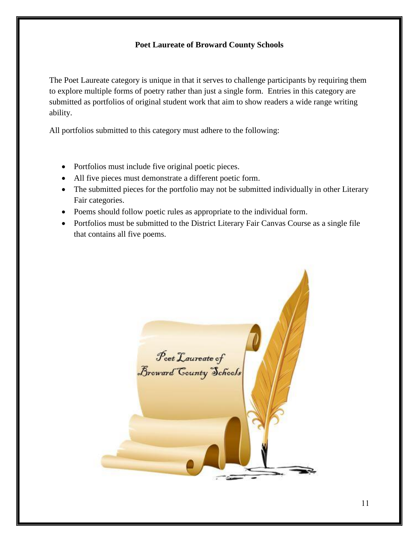#### **Poet Laureate of Broward County Schools**

The Poet Laureate category is unique in that it serves to challenge participants by requiring them to explore multiple forms of poetry rather than just a single form. Entries in this category are submitted as portfolios of original student work that aim to show readers a wide range writing ability.

All portfolios submitted to this category must adhere to the following:

- Portfolios must include five original poetic pieces.
- All five pieces must demonstrate a different poetic form.
- The submitted pieces for the portfolio may not be submitted individually in other Literary Fair categories.
- Poems should follow poetic rules as appropriate to the individual form.
- Portfolios must be submitted to the District Literary Fair Canvas Course as a single file that contains all five poems.

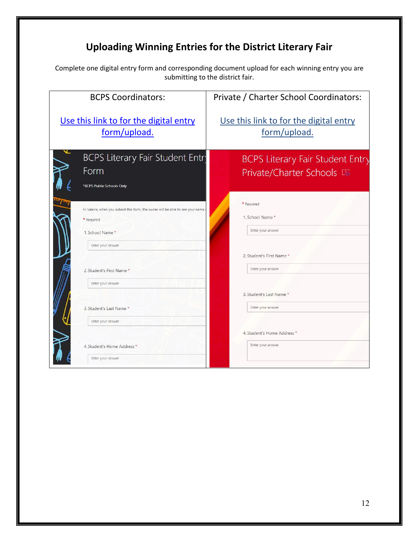### **Uploading Winning Entries for the District Literary Fair**

Complete one digital entry form and corresponding document upload for each winning entry you are submitting to the district fair.

| <b>BCPS Coordinators:</b>                                                                                                            | Private / Charter School Coordinators:                               |
|--------------------------------------------------------------------------------------------------------------------------------------|----------------------------------------------------------------------|
| Use this link to for the digital entry                                                                                               | Use this link to for the digital entry                               |
| form/upload.                                                                                                                         | form/upload.                                                         |
| BCPS Literary Fair Student Entry<br>Form<br>*BCPS Public Schools Only                                                                | <b>BCPS Literary Fair Student Entry</b><br>Private/Charter Schools L |
| Hi Valerie, when you submit this form, the owner will be able to see your name<br>* Required<br>1. School Name*<br>Enter your answer | * Required<br>1. School Name*<br>Enter your answer                   |
| 2. Student's First Name *                                                                                                            | 2. Student's First Name *                                            |
| Enter your answer                                                                                                                    | Enter your answer                                                    |
| 3. Student's Last Name *                                                                                                             | 3. Student's Last Name*                                              |
| Enter your answer                                                                                                                    | Enter your answer                                                    |
| 4. Student's Home Address *                                                                                                          | 4. Student's Home Address *                                          |
| Enter your answer                                                                                                                    | Enter your answer                                                    |